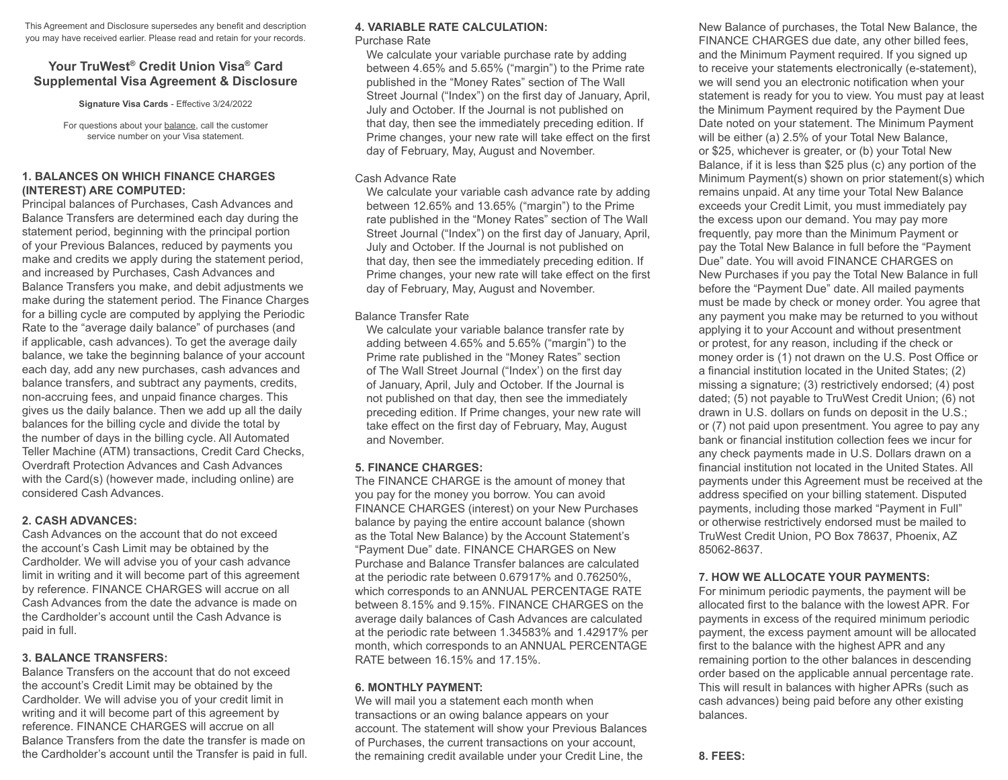This Agreement and Disclosure supersedes any benefit and description you may have received earlier. Please read and retain for your records.

# **Your TruWest® Credit Union Visa® Card Supplemental Visa Agreement & Disclosure**

**Signature Visa Cards** - Effective 3/24/2022

For questions about your balance, call the customer service number on your Visa statement.

### **1. BALANCES ON WHICH FINANCE CHARGES (INTEREST) ARE COMPUTED:**

Principal balances of Purchases, Cash Advances and Balance Transfers are determined each day during the statement period, beginning with the principal portion of your Previous Balances, reduced by payments you make and credits we apply during the statement period, and increased by Purchases, Cash Advances and Balance Transfers you make, and debit adjustments we make during the statement period. The Finance Charges for a billing cycle are computed by applying the Periodic Rate to the "average daily balance" of purchases (and if applicable, cash advances). To get the average daily balance, we take the beginning balance of your account each day, add any new purchases, cash advances and balance transfers, and subtract any payments, credits, non-accruing fees, and unpaid finance charges. This gives us the daily balance. Then we add up all the daily balances for the billing cycle and divide the total by the number of days in the billing cycle. All Automated Teller Machine (ATM) transactions, Credit Card Checks, Overdraft Protection Advances and Cash Advances with the Card(s) (however made, including online) are considered Cash Advances.

# **2. CASH ADVANCES:**

Cash Advances on the account that do not exceed the account's Cash Limit may be obtained by the Cardholder. We will advise you of your cash advance limit in writing and it will become part of this agreement by reference. FINANCE CHARGES will accrue on all Cash Advances from the date the advance is made on the Cardholder's account until the Cash Advance is paid in full.

# **3. BALANCE TRANSFERS:**

Balance Transfers on the account that do not exceed the account's Credit Limit may be obtained by the Cardholder. We will advise you of your credit limit in writing and it will become part of this agreement by reference. FINANCE CHARGES will accrue on all Balance Transfers from the date the transfer is made on the Cardholder's account until the Transfer is paid in full.

# **4. VARIABLE RATE CALCULATION:**

Purchase Rate

We calculate your variable purchase rate by adding between 4.65% and 5.65% ("margin") to the Prime rate published in the "Money Rates" section of The Wall Street Journal ("Index") on the first day of January, April, July and October. If the Journal is not published on that day, then see the immediately preceding edition. If Prime changes, your new rate will take effect on the first day of February, May, August and November.

### Cash Advance Rate

We calculate your variable cash advance rate by adding between 12.65% and 13.65% ("margin") to the Prime rate published in the "Money Rates" section of The Wall Street Journal ("Index") on the first day of January, April, July and October. If the Journal is not published on that day, then see the immediately preceding edition. If Prime changes, your new rate will take effect on the first day of February, May, August and November.

### Balance Transfer Rate

We calculate your variable balance transfer rate by adding between 4.65% and 5.65% ("margin") to the Prime rate published in the "Money Rates" section of The Wall Street Journal ("Index') on the first day of January, April, July and October. If the Journal is not published on that day, then see the immediately preceding edition. If Prime changes, your new rate will take effect on the first day of February, May, August and November.

# **5. FINANCE CHARGES:**

The FINANCE CHARGE is the amount of money that you pay for the money you borrow. You can avoid FINANCE CHARGES (interest) on your New Purchases balance by paying the entire account balance (shown as the Total New Balance) by the Account Statement's "Payment Due" date. FINANCE CHARGES on New Purchase and Balance Transfer balances are calculated at the periodic rate between 0.67917% and 0.76250%, which corresponds to an ANNUAL PERCENTAGE RATE between 8.15% and 9.15%. FINANCE CHARGES on the average daily balances of Cash Advances are calculated at the periodic rate between 1.34583% and 1.42917% per month, which corresponds to an ANNUAL PERCENTAGE RATE between 16.15% and 17.15%.

## **6. MONTHLY PAYMENT:**

We will mail you a statement each month when transactions or an owing balance appears on your account. The statement will show your Previous Balances of Purchases, the current transactions on your account, the remaining credit available under your Credit Line, the

New Balance of purchases, the Total New Balance, the FINANCE CHARGES due date, any other billed fees, and the Minimum Payment required. If you signed up to receive your statements electronically (e-statement), we will send you an electronic notification when your statement is ready for you to view. You must pay at least the Minimum Payment required by the Payment Due Date noted on your statement. The Minimum Payment will be either (a) 2.5% of your Total New Balance, or \$25, whichever is greater, or (b) your Total New Balance, if it is less than \$25 plus (c) any portion of the Minimum Payment(s) shown on prior statement(s) which remains unpaid. At any time your Total New Balance exceeds your Credit Limit, you must immediately pay the excess upon our demand. You may pay more frequently, pay more than the Minimum Payment or pay the Total New Balance in full before the "Payment Due" date. You will avoid FINANCE CHARGES on New Purchases if you pay the Total New Balance in full before the "Payment Due" date. All mailed payments must be made by check or money order. You agree that any payment you make may be returned to you without applying it to your Account and without presentment or protest, for any reason, including if the check or money order is (1) not drawn on the U.S. Post Office or a financial institution located in the United States; (2) missing a signature; (3) restrictively endorsed; (4) post dated; (5) not payable to TruWest Credit Union; (6) not drawn in U.S. dollars on funds on deposit in the U.S.; or (7) not paid upon presentment. You agree to pay any bank or financial institution collection fees we incur for any check payments made in U.S. Dollars drawn on a financial institution not located in the United States. All payments under this Agreement must be received at the address specified on your billing statement. Disputed payments, including those marked "Payment in Full" or otherwise restrictively endorsed must be mailed to TruWest Credit Union, PO Box 78637, Phoenix, AZ 85062-8637.

## **7. HOW WE ALLOCATE YOUR PAYMENTS:**

For minimum periodic payments, the payment will be allocated first to the balance with the lowest APR. For payments in excess of the required minimum periodic payment, the excess payment amount will be allocated first to the balance with the highest APR and any remaining portion to the other balances in descending order based on the applicable annual percentage rate. This will result in balances with higher APRs (such as cash advances) being paid before any other existing balances.